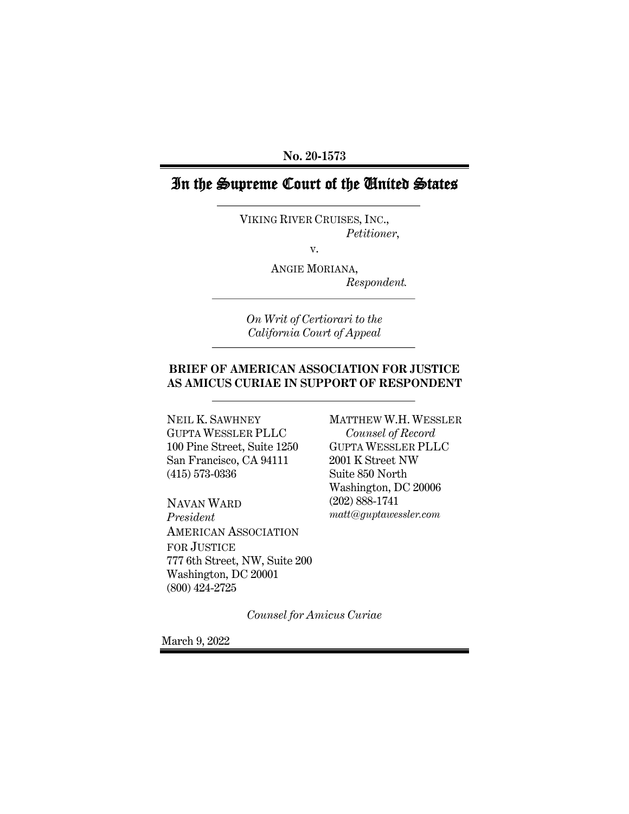**No. 20-1573**

# In the Supreme Court of the United States

VIKING RIVER CRUISES, INC., *Petitioner*,

v.

ANGIE MORIANA, *Respondent.*

*On Writ of Certiorari to the California Court of Appeal*

### **BRIEF OF AMERICAN ASSOCIATION FOR JUSTICE AS AMICUS CURIAE IN SUPPORT OF RESPONDENT**

NEIL K. SAWHNEY GUPTA WESSLER PLLC 100 Pine Street, Suite 1250 San Francisco, CA 94111 (415) 573-0336

NAVAN WARD *President* AMERICAN ASSOCIATION FOR JUSTICE 777 6th Street, NW, Suite 200 Washington, DC 20001 (800) 424-2725

MATTHEW W.H. WESSLER *Counsel of Record* GUPTA WESSLER PLLC 2001 K Street NW Suite 850 North Washington, DC 20006 (202) 888-1741 *matt@guptawessler.com*

*Counsel for Amicus Curiae*

March 9, 2022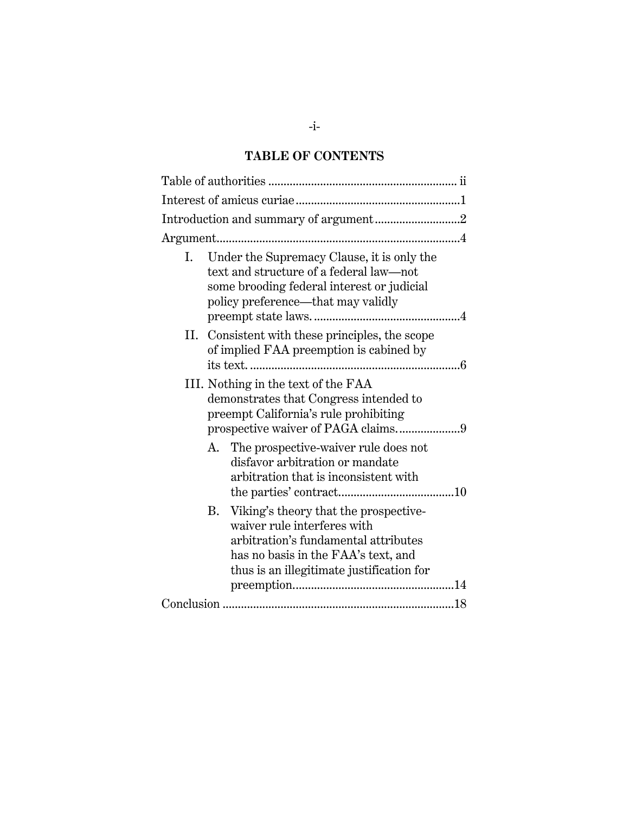# **TABLE OF CONTENTS**

|    | Introduction and summary of argument2                                                                                                                                                                         |  |  |
|----|---------------------------------------------------------------------------------------------------------------------------------------------------------------------------------------------------------------|--|--|
|    |                                                                                                                                                                                                               |  |  |
| I. | Under the Supremacy Clause, it is only the<br>text and structure of a federal law—not<br>some brooding federal interest or judicial<br>policy preference—that may validly                                     |  |  |
| П. | Consistent with these principles, the scope<br>of implied FAA preemption is cabined by                                                                                                                        |  |  |
|    | III. Nothing in the text of the FAA<br>demonstrates that Congress intended to<br>preempt California's rule prohibiting                                                                                        |  |  |
|    | The prospective-waiver rule does not<br>А.<br>disfavor arbitration or mandate<br>arbitration that is inconsistent with                                                                                        |  |  |
|    | Viking's theory that the prospective-<br><b>B.</b><br>waiver rule interferes with<br>arbitration's fundamental attributes<br>has no basis in the FAA's text, and<br>thus is an illegitimate justification for |  |  |
|    |                                                                                                                                                                                                               |  |  |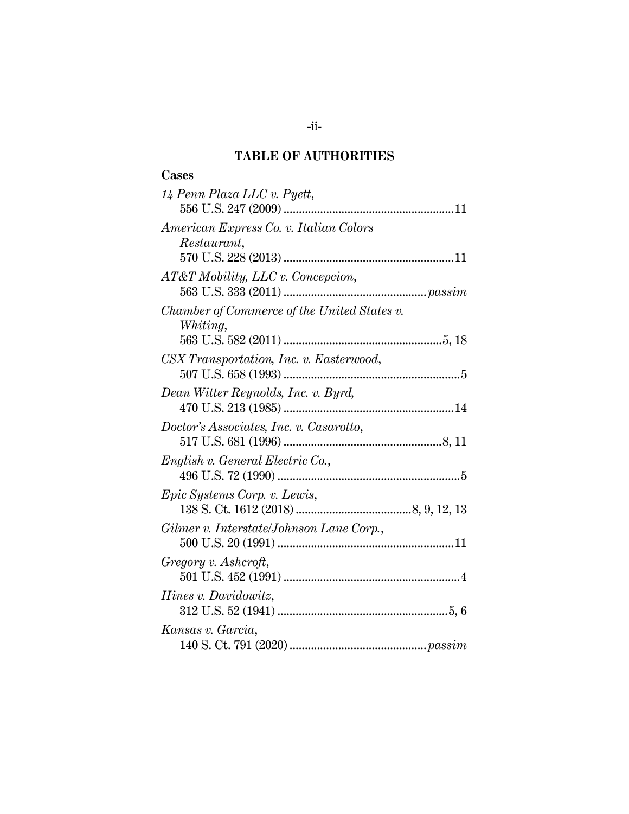# **TABLE OF AUTHORITIES**

## **Cases**

| 14 Penn Plaza LLC v. Pyett,                             |
|---------------------------------------------------------|
| American Express Co. v. Italian Colors<br>Restaurant,   |
| AT&T Mobility, LLC v. Concepcion,                       |
| Chamber of Commerce of the United States v.<br>Whiting, |
| CSX Transportation, Inc. v. Easterwood,                 |
| Dean Witter Reynolds, Inc. v. Byrd,                     |
| Doctor's Associates, Inc. v. Casarotto,                 |
| English v. General Electric Co.,                        |
| <i>Epic Systems Corp. v. Lewis,</i>                     |
| Gilmer v. Interstate/Johnson Lane Corp.,                |
| Gregory v. Ashcroft,                                    |
| <i>Hines v. Davidowitz,</i>                             |
| Kansas v. Garcia,                                       |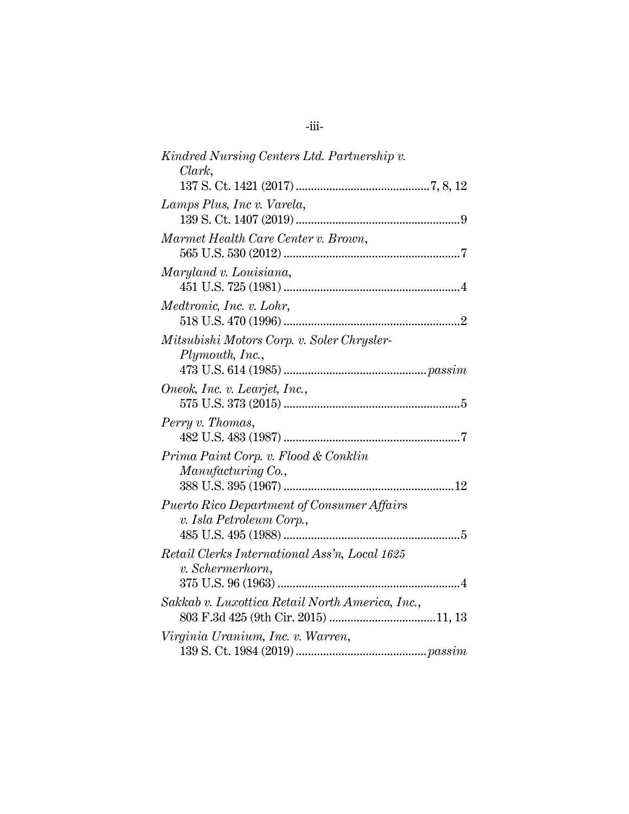| Kindred Nursing Centers Ltd. Partnership v.                                   |
|-------------------------------------------------------------------------------|
| Clark,                                                                        |
|                                                                               |
| Lamps Plus, Inc v. Varela,                                                    |
|                                                                               |
| Marmet Health Care Center v. Brown,                                           |
| Maryland v. Louisiana,                                                        |
| Medtronic, Inc. v. Lohr,                                                      |
| Mitsubishi Motors Corp. v. Soler Chrysler-<br>Plymouth, Inc.,                 |
| Oneok, Inc. v. Learjet, Inc.,                                                 |
| Perry v. Thomas,                                                              |
| Prima Paint Corp. v. Flood & Conklin<br>Manufacturing Co.,                    |
| <b>Puerto Rico Department of Consumer Affairs</b><br>v. Isla Petroleum Corp., |
| Retail Clerks International Ass'n, Local 1625<br>v. Schermerhorn,             |
| Sakkab v. Luxottica Retail North America, Inc.,                               |
| Virginia Uranium, Inc. v. Warren,                                             |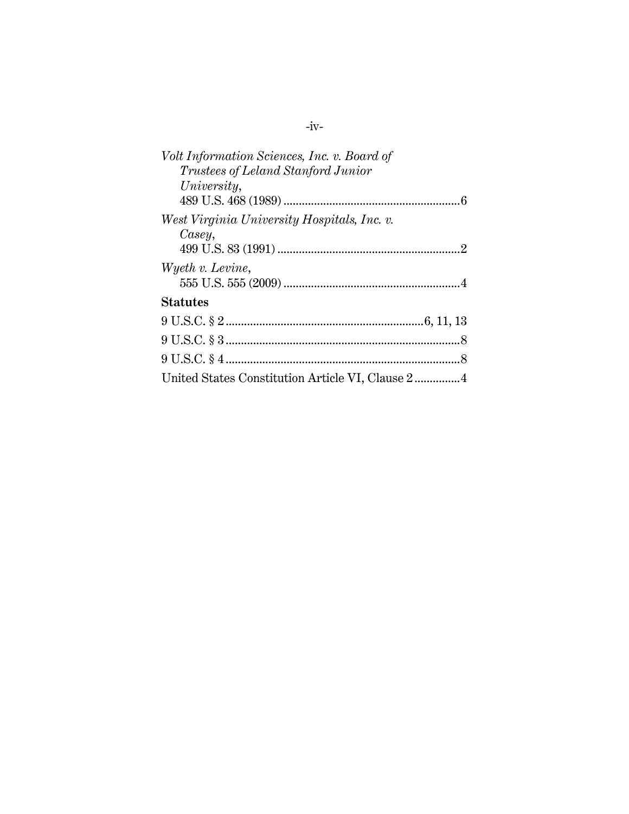| Volt Information Sciences, Inc. v. Board of |  |
|---------------------------------------------|--|
| <i>Trustees of Leland Stanford Junior</i>   |  |
| University,                                 |  |
|                                             |  |
| West Virginia University Hospitals, Inc. v. |  |
| Casey,                                      |  |
|                                             |  |
| Wyeth v. Levine,                            |  |
|                                             |  |
| <b>Statutes</b>                             |  |
|                                             |  |
|                                             |  |
|                                             |  |
|                                             |  |
|                                             |  |

-iv-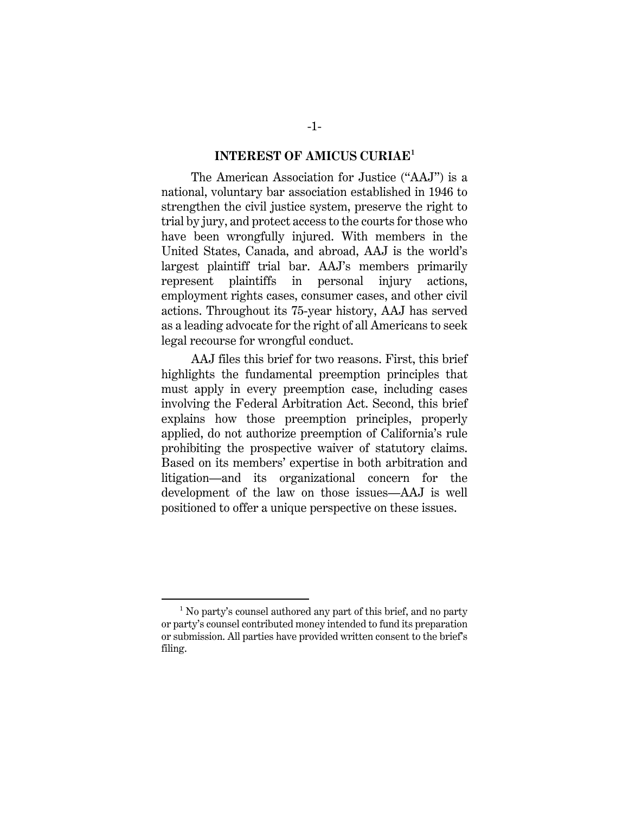#### **INTEREST OF AMICUS CURIAE<sup>1</sup>**

The American Association for Justice ("AAJ") is a national, voluntary bar association established in 1946 to strengthen the civil justice system, preserve the right to trial by jury, and protect access to the courts for those who have been wrongfully injured. With members in the United States, Canada, and abroad, AAJ is the world's largest plaintiff trial bar. AAJ's members primarily represent plaintiffs in personal injury actions, employment rights cases, consumer cases, and other civil actions. Throughout its 75-year history, AAJ has served as a leading advocate for the right of all Americans to seek legal recourse for wrongful conduct.

AAJ files this brief for two reasons. First, this brief highlights the fundamental preemption principles that must apply in every preemption case, including cases involving the Federal Arbitration Act. Second, this brief explains how those preemption principles, properly applied, do not authorize preemption of California's rule prohibiting the prospective waiver of statutory claims. Based on its members' expertise in both arbitration and litigation—and its organizational concern for the development of the law on those issues—AAJ is well positioned to offer a unique perspective on these issues.

<sup>1</sup> No party's counsel authored any part of this brief, and no party or party's counsel contributed money intended to fund its preparation or submission. All parties have provided written consent to the brief's filing.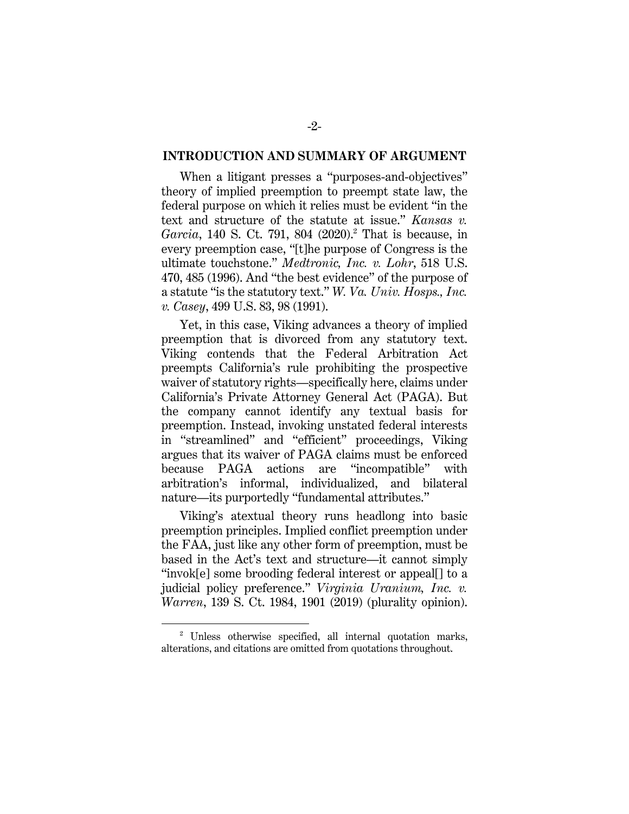#### **INTRODUCTION AND SUMMARY OF ARGUMENT**

When a litigant presses a "purposes-and-objectives" theory of implied preemption to preempt state law, the federal purpose on which it relies must be evident "in the text and structure of the statute at issue." *Kansas v. Garcia*, 140 S. Ct. 791, 804 (2020). <sup>2</sup> That is because, in every preemption case, "[t]he purpose of Congress is the ultimate touchstone." *Medtronic, Inc. v. Lohr*, 518 U.S. 470, 485 (1996). And "the best evidence" of the purpose of a statute "is the statutory text." *W. Va. Univ. Hosps., Inc. v. Casey*, 499 U.S. 83, 98 (1991).

Yet, in this case, Viking advances a theory of implied preemption that is divorced from any statutory text. Viking contends that the Federal Arbitration Act preempts California's rule prohibiting the prospective waiver of statutory rights—specifically here, claims under California's Private Attorney General Act (PAGA). But the company cannot identify any textual basis for preemption. Instead, invoking unstated federal interests in "streamlined" and "efficient" proceedings, Viking argues that its waiver of PAGA claims must be enforced because PAGA actions are "incompatible" with arbitration's informal, individualized, and bilateral nature—its purportedly "fundamental attributes."

Viking's atextual theory runs headlong into basic preemption principles. Implied conflict preemption under the FAA, just like any other form of preemption, must be based in the Act's text and structure—it cannot simply "invok[e] some brooding federal interest or appeal[] to a judicial policy preference." *Virginia Uranium, Inc. v. Warren*, 139 S. Ct. 1984, 1901 (2019) (plurality opinion).

<sup>2</sup> Unless otherwise specified, all internal quotation marks, alterations, and citations are omitted from quotations throughout.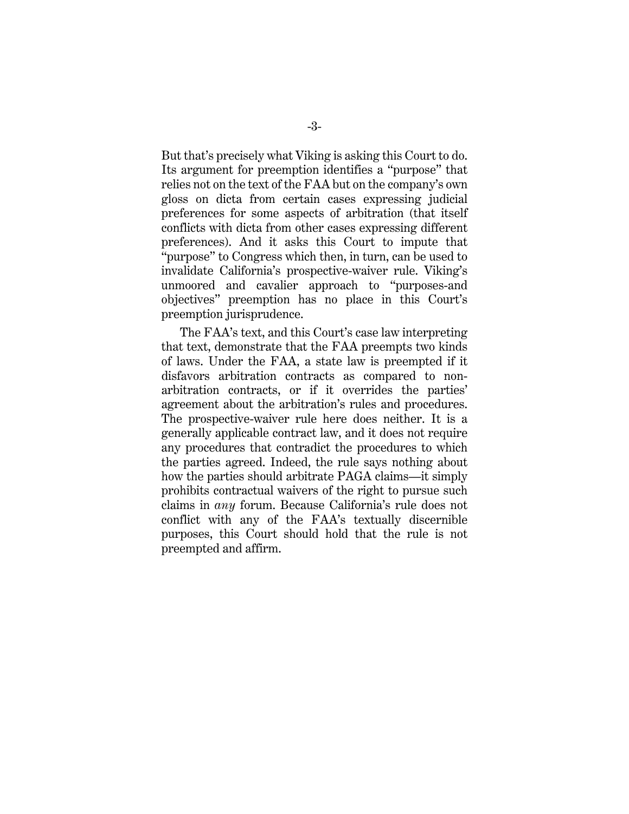But that's precisely what Viking is asking this Court to do. Its argument for preemption identifies a "purpose" that relies not on the text of the FAA but on the company's own gloss on dicta from certain cases expressing judicial preferences for some aspects of arbitration (that itself conflicts with dicta from other cases expressing different preferences). And it asks this Court to impute that "purpose" to Congress which then, in turn, can be used to invalidate California's prospective-waiver rule. Viking's unmoored and cavalier approach to "purposes-and objectives" preemption has no place in this Court's preemption jurisprudence.

The FAA's text, and this Court's case law interpreting that text, demonstrate that the FAA preempts two kinds of laws. Under the FAA, a state law is preempted if it disfavors arbitration contracts as compared to nonarbitration contracts, or if it overrides the parties' agreement about the arbitration's rules and procedures. The prospective-waiver rule here does neither. It is a generally applicable contract law, and it does not require any procedures that contradict the procedures to which the parties agreed. Indeed, the rule says nothing about how the parties should arbitrate PAGA claims—it simply prohibits contractual waivers of the right to pursue such claims in *any* forum. Because California's rule does not conflict with any of the FAA's textually discernible purposes, this Court should hold that the rule is not preempted and affirm.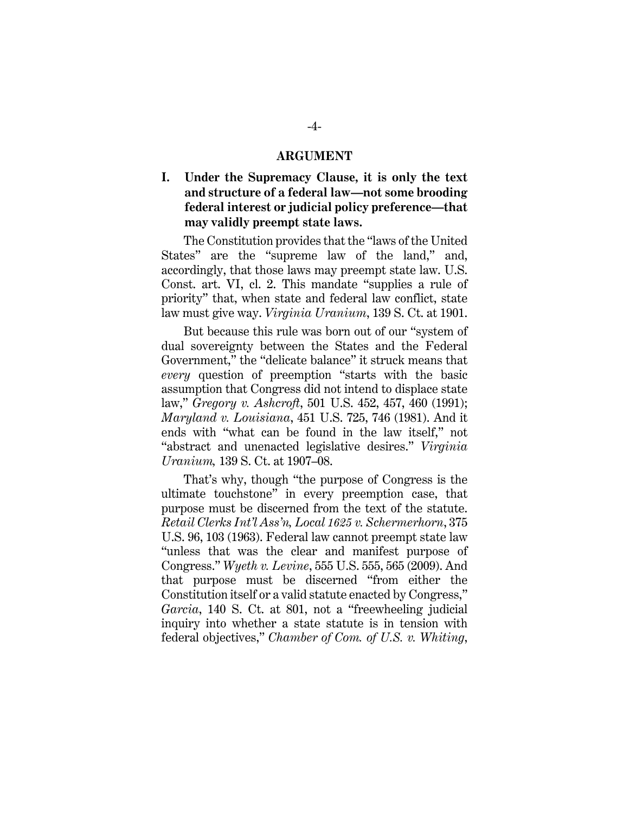#### **ARGUMENT**

## **I. Under the Supremacy Clause, it is only the text and structure of a federal law—not some brooding federal interest or judicial policy preference—that may validly preempt state laws.**

The Constitution provides that the "laws of the United States" are the "supreme law of the land," and, accordingly, that those laws may preempt state law. U.S. Const. art. VI, cl. 2. This mandate "supplies a rule of priority" that, when state and federal law conflict, state law must give way. *Virginia Uranium*, 139 S. Ct. at 1901.

But because this rule was born out of our "system of dual sovereignty between the States and the Federal Government," the "delicate balance" it struck means that *every* question of preemption "starts with the basic assumption that Congress did not intend to displace state law," *Gregory v. Ashcroft*, 501 U.S. 452, 457, 460 (1991); *Maryland v. Louisiana*, 451 U.S. 725, 746 (1981). And it ends with "what can be found in the law itself," not "abstract and unenacted legislative desires." *Virginia Uranium,* 139 S. Ct. at 1907–08.

That's why, though "the purpose of Congress is the ultimate touchstone" in every preemption case, that purpose must be discerned from the text of the statute. *Retail Clerks Int'l Ass'n, Local 1625 v. Schermerhorn*, 375 U.S. 96, 103 (1963). Federal law cannot preempt state law "unless that was the clear and manifest purpose of Congress." *Wyeth v. Levine*, 555 U.S. 555, 565 (2009). And that purpose must be discerned "from either the Constitution itself or a valid statute enacted by Congress," *Garcia*, 140 S. Ct. at 801, not a "freewheeling judicial inquiry into whether a state statute is in tension with federal objectives," *Chamber of Com. of U.S. v. Whiting*,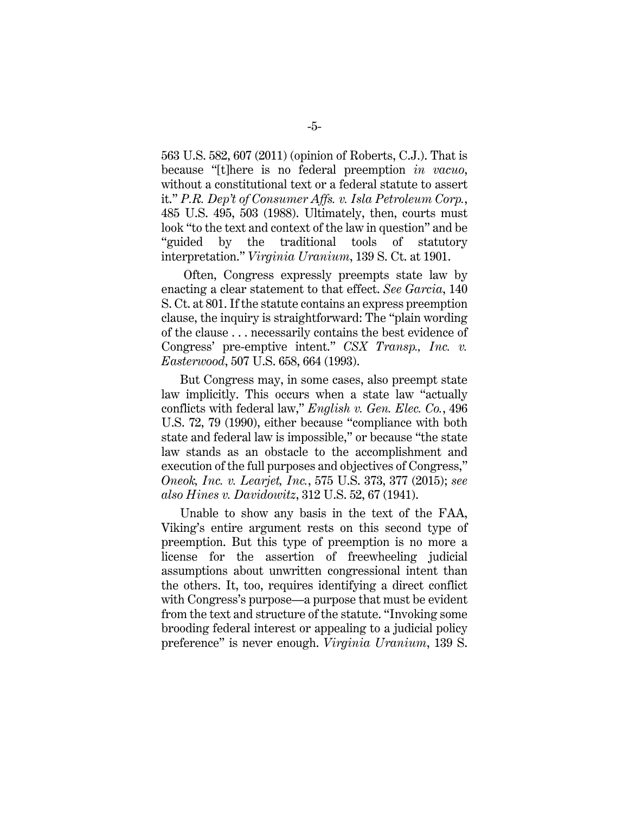563 U.S. 582, 607 (2011) (opinion of Roberts, C.J.). That is because "[t]here is no federal preemption *in vacuo*, without a constitutional text or a federal statute to assert it." *P.R. Dep't of Consumer Affs. v. Isla Petroleum Corp.*, 485 U.S. 495, 503 (1988). Ultimately, then, courts must look "to the text and context of the law in question" and be "guided by the traditional tools of statutory interpretation." *Virginia Uranium*, 139 S. Ct. at 1901.

Often, Congress expressly preempts state law by enacting a clear statement to that effect. *See Garcia*, 140 S. Ct. at 801. If the statute contains an express preemption clause, the inquiry is straightforward: The "plain wording of the clause . . . necessarily contains the best evidence of Congress' pre-emptive intent." *CSX Transp., Inc. v. Easterwood*, 507 U.S. 658, 664 (1993).

But Congress may, in some cases, also preempt state law implicitly. This occurs when a state law "actually conflicts with federal law," *English v. Gen. Elec. Co.*, 496 U.S. 72, 79 (1990), either because "compliance with both state and federal law is impossible," or because "the state law stands as an obstacle to the accomplishment and execution of the full purposes and objectives of Congress," *Oneok, Inc. v. Learjet, Inc.*, 575 U.S. 373, 377 (2015); *see also Hines v. Davidowitz*, 312 U.S. 52, 67 (1941).

Unable to show any basis in the text of the FAA, Viking's entire argument rests on this second type of preemption. But this type of preemption is no more a license for the assertion of freewheeling judicial assumptions about unwritten congressional intent than the others. It, too, requires identifying a direct conflict with Congress's purpose—a purpose that must be evident from the text and structure of the statute. "Invoking some brooding federal interest or appealing to a judicial policy preference" is never enough. *Virginia Uranium*, 139 S.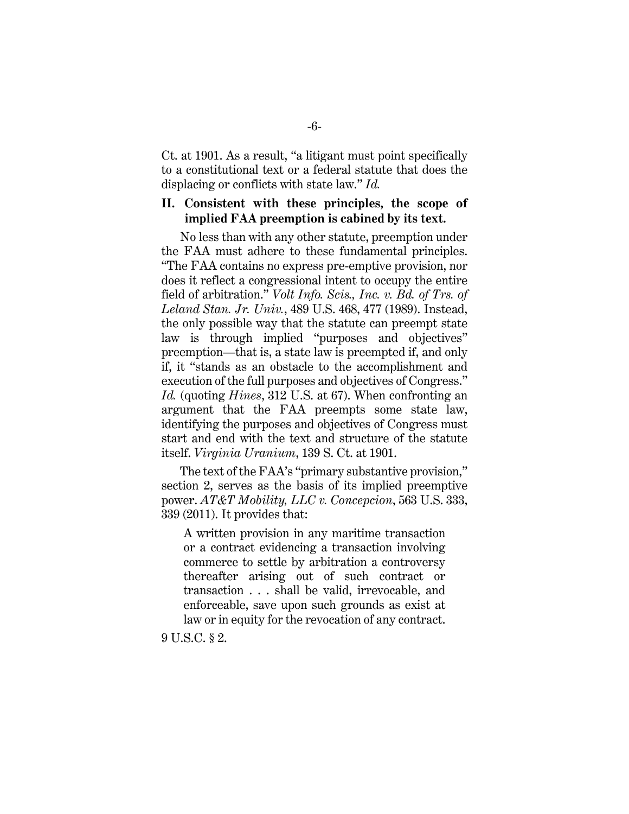Ct. at 1901. As a result, "a litigant must point specifically to a constitutional text or a federal statute that does the displacing or conflicts with state law." *Id.*

### **II. Consistent with these principles, the scope of implied FAA preemption is cabined by its text.**

No less than with any other statute, preemption under the FAA must adhere to these fundamental principles. "The FAA contains no express pre-emptive provision, nor does it reflect a congressional intent to occupy the entire field of arbitration." *Volt Info. Scis., Inc. v. Bd. of Trs. of Leland Stan. Jr. Univ.*, 489 U.S. 468, 477 (1989). Instead, the only possible way that the statute can preempt state law is through implied "purposes and objectives" preemption—that is, a state law is preempted if, and only if, it "stands as an obstacle to the accomplishment and execution of the full purposes and objectives of Congress." *Id.* (quoting *Hines*, 312 U.S. at 67). When confronting an argument that the FAA preempts some state law, identifying the purposes and objectives of Congress must start and end with the text and structure of the statute itself. *Virginia Uranium*, 139 S. Ct. at 1901.

The text of the FAA's "primary substantive provision," section 2, serves as the basis of its implied preemptive power. *AT&T Mobility, LLC v. Concepcion*, 563 U.S. 333, 339 (2011). It provides that:

A written provision in any maritime transaction or a contract evidencing a transaction involving commerce to settle by arbitration a controversy thereafter arising out of such contract or transaction . . . shall be valid, irrevocable, and enforceable, save upon such grounds as exist at law or in equity for the revocation of any contract.

9 U.S.C. § 2.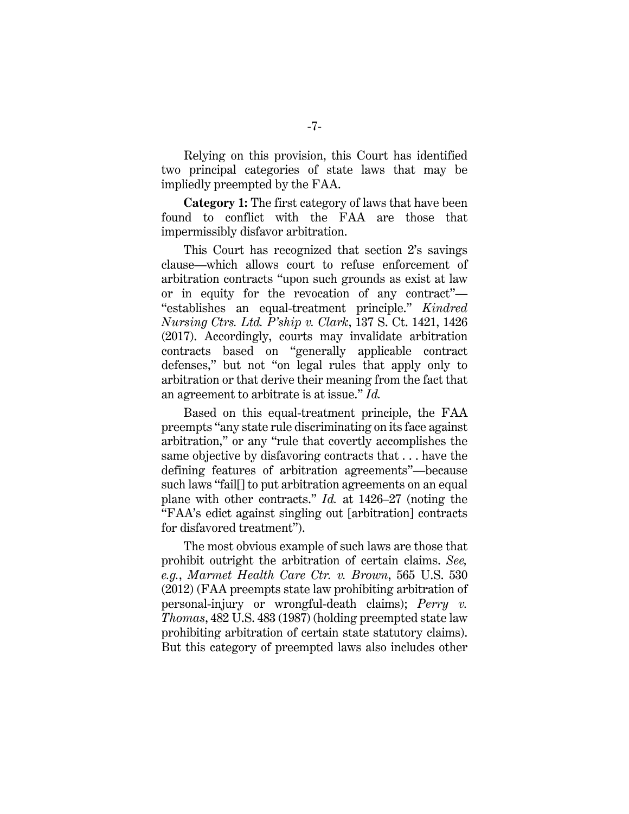Relying on this provision, this Court has identified two principal categories of state laws that may be impliedly preempted by the FAA.

**Category 1:** The first category of laws that have been found to conflict with the FAA are those that impermissibly disfavor arbitration.

This Court has recognized that section 2's savings clause—which allows court to refuse enforcement of arbitration contracts "upon such grounds as exist at law or in equity for the revocation of any contract"— "establishes an equal-treatment principle." *Kindred Nursing Ctrs. Ltd. P'ship v. Clark*, 137 S. Ct. 1421, 1426 (2017). Accordingly, courts may invalidate arbitration contracts based on "generally applicable contract defenses," but not "on legal rules that apply only to arbitration or that derive their meaning from the fact that an agreement to arbitrate is at issue." *Id.*

Based on this equal-treatment principle, the FAA preempts "any state rule discriminating on its face against arbitration," or any "rule that covertly accomplishes the same objective by disfavoring contracts that . . . have the defining features of arbitration agreements"—because such laws "fail[] to put arbitration agreements on an equal plane with other contracts." *Id.* at 1426–27 (noting the "FAA's edict against singling out [arbitration] contracts for disfavored treatment").

The most obvious example of such laws are those that prohibit outright the arbitration of certain claims. *See, e.g.*, *Marmet Health Care Ctr. v. Brown*, 565 U.S. 530 (2012) (FAA preempts state law prohibiting arbitration of personal-injury or wrongful-death claims); *Perry v. Thomas*, 482 U.S. 483 (1987) (holding preempted state law prohibiting arbitration of certain state statutory claims). But this category of preempted laws also includes other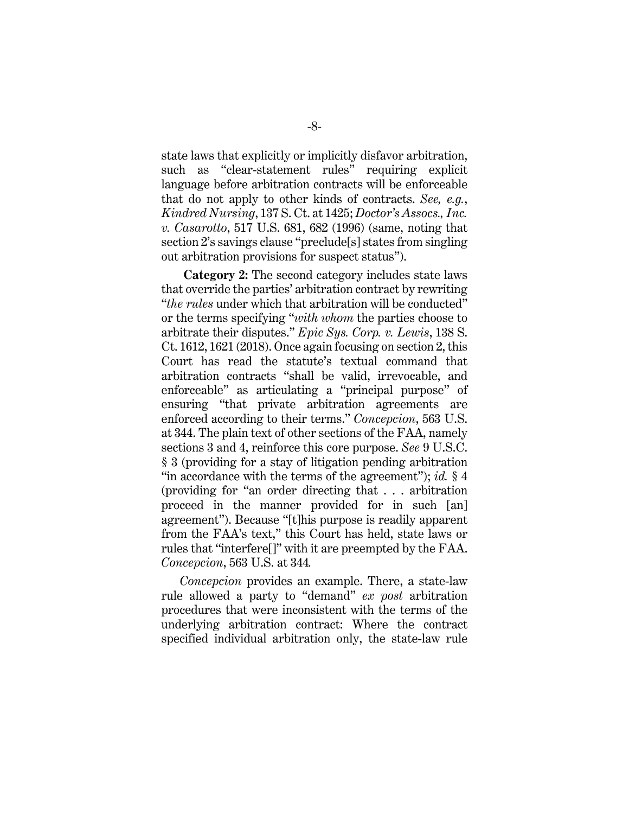state laws that explicitly or implicitly disfavor arbitration, such as "clear-statement rules" requiring explicit language before arbitration contracts will be enforceable that do not apply to other kinds of contracts. *See, e.g.*, *Kindred Nursing*, 137 S. Ct. at 1425; *Doctor's Assocs., Inc. v. Casarotto*, 517 U.S. 681, 682 (1996) (same, noting that section 2's savings clause "preclude[s] states from singling out arbitration provisions for suspect status").

**Category 2:** The second category includes state laws that override the parties' arbitration contract by rewriting "*the rules* under which that arbitration will be conducted" or the terms specifying "*with whom* the parties choose to arbitrate their disputes." *Epic Sys. Corp. v. Lewis*, 138 S. Ct. 1612, 1621 (2018). Once again focusing on section 2, this Court has read the statute's textual command that arbitration contracts "shall be valid, irrevocable, and enforceable" as articulating a "principal purpose" of ensuring "that private arbitration agreements are enforced according to their terms." *Concepcion*, 563 U.S. at 344. The plain text of other sections of the FAA, namely sections 3 and 4, reinforce this core purpose. *See* 9 U.S.C. § 3 (providing for a stay of litigation pending arbitration "in accordance with the terms of the agreement"); *id.* § 4 (providing for "an order directing that . . . arbitration proceed in the manner provided for in such [an] agreement"). Because "[t]his purpose is readily apparent from the FAA's text," this Court has held, state laws or rules that "interfere[]" with it are preempted by the FAA. *Concepcion*, 563 U.S. at 344*.*

*Concepcion* provides an example. There, a state-law rule allowed a party to "demand" *ex post* arbitration procedures that were inconsistent with the terms of the underlying arbitration contract: Where the contract specified individual arbitration only, the state-law rule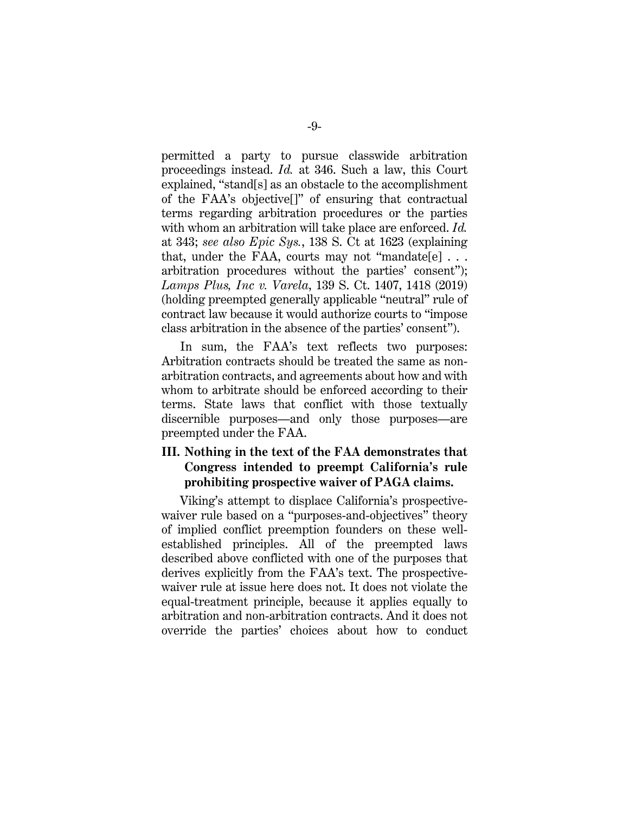permitted a party to pursue classwide arbitration proceedings instead. *Id.* at 346. Such a law, this Court explained, "stand[s] as an obstacle to the accomplishment of the FAA's objective[]" of ensuring that contractual terms regarding arbitration procedures or the parties with whom an arbitration will take place are enforced. *Id.* at 343; *see also Epic Sys.*, 138 S. Ct at 1623 (explaining that, under the FAA, courts may not "mandate[e]  $\ldots$ arbitration procedures without the parties' consent"); *Lamps Plus, Inc v. Varela*, 139 S. Ct. 1407, 1418 (2019) (holding preempted generally applicable "neutral" rule of contract law because it would authorize courts to "impose class arbitration in the absence of the parties' consent").

In sum, the FAA's text reflects two purposes: Arbitration contracts should be treated the same as nonarbitration contracts, and agreements about how and with whom to arbitrate should be enforced according to their terms. State laws that conflict with those textually discernible purposes—and only those purposes—are preempted under the FAA.

## **III. Nothing in the text of the FAA demonstrates that Congress intended to preempt California's rule prohibiting prospective waiver of PAGA claims.**

Viking's attempt to displace California's prospectivewaiver rule based on a "purposes-and-objectives" theory of implied conflict preemption founders on these wellestablished principles. All of the preempted laws described above conflicted with one of the purposes that derives explicitly from the FAA's text. The prospectivewaiver rule at issue here does not. It does not violate the equal-treatment principle, because it applies equally to arbitration and non-arbitration contracts. And it does not override the parties' choices about how to conduct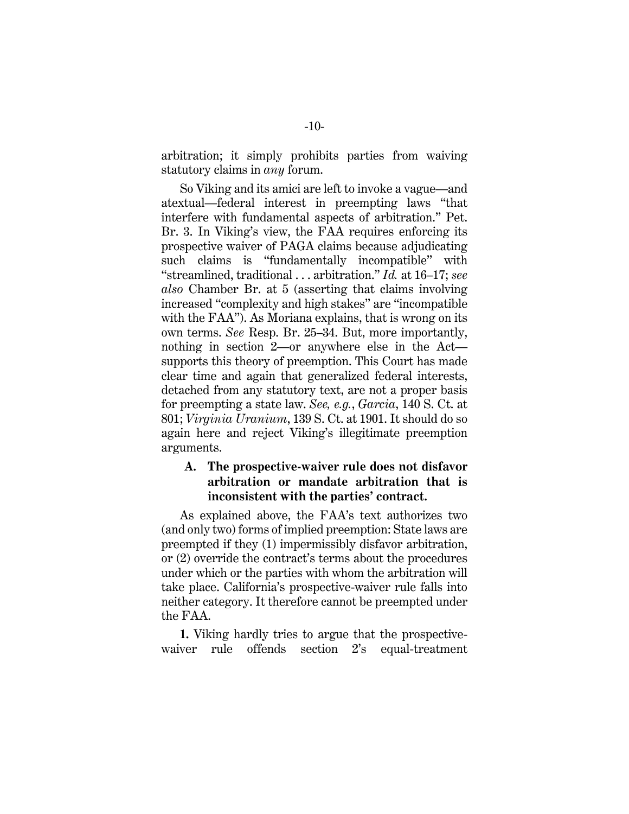arbitration; it simply prohibits parties from waiving statutory claims in *any* forum.

So Viking and its amici are left to invoke a vague—and atextual—federal interest in preempting laws "that interfere with fundamental aspects of arbitration." Pet. Br. 3. In Viking's view, the FAA requires enforcing its prospective waiver of PAGA claims because adjudicating such claims is "fundamentally incompatible" with "streamlined, traditional . . . arbitration." *Id.* at 16–17; *see also* Chamber Br. at 5 (asserting that claims involving increased "complexity and high stakes" are "incompatible with the FAA"). As Moriana explains, that is wrong on its own terms. *See* Resp. Br. 25–34. But, more importantly, nothing in section 2—or anywhere else in the Act supports this theory of preemption. This Court has made clear time and again that generalized federal interests, detached from any statutory text, are not a proper basis for preempting a state law. *See, e.g.*, *Garcia*, 140 S. Ct. at 801; *Virginia Uranium*, 139 S. Ct. at 1901. It should do so again here and reject Viking's illegitimate preemption arguments.

## **A. The prospective-waiver rule does not disfavor arbitration or mandate arbitration that is inconsistent with the parties' contract.**

As explained above, the FAA's text authorizes two (and only two) forms of implied preemption: State laws are preempted if they (1) impermissibly disfavor arbitration, or (2) override the contract's terms about the procedures under which or the parties with whom the arbitration will take place. California's prospective-waiver rule falls into neither category. It therefore cannot be preempted under the FAA.

**1.** Viking hardly tries to argue that the prospectivewaiver rule offends section 2's equal-treatment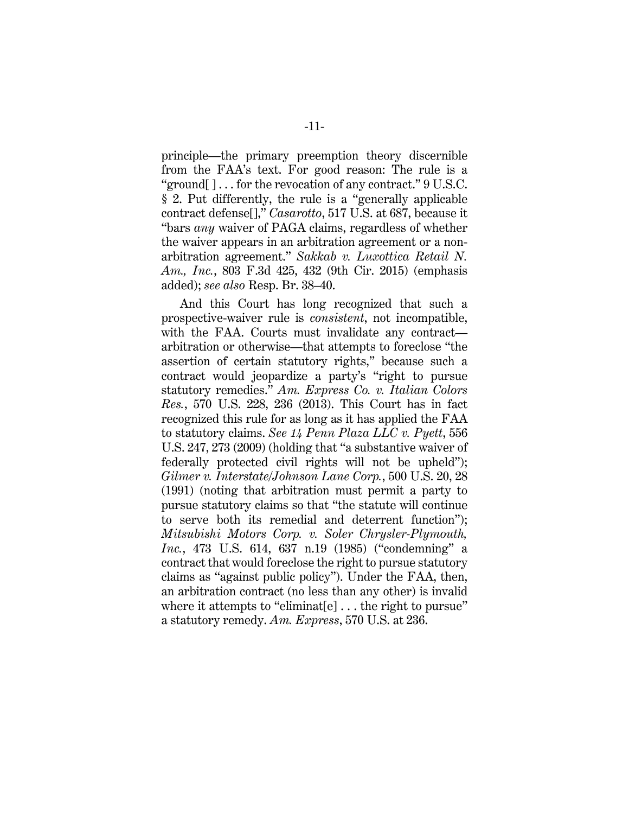principle—the primary preemption theory discernible from the FAA's text. For good reason: The rule is a "ground[ $\cdot$ ]... for the revocation of any contract." 9 U.S.C. § 2. Put differently, the rule is a "generally applicable contract defense[]," *Casarotto*, 517 U.S. at 687, because it "bars *any* waiver of PAGA claims, regardless of whether the waiver appears in an arbitration agreement or a nonarbitration agreement." *Sakkab v. Luxottica Retail N. Am., Inc.*, 803 F.3d 425, 432 (9th Cir. 2015) (emphasis added); *see also* Resp. Br. 38–40.

And this Court has long recognized that such a prospective-waiver rule is *consistent*, not incompatible, with the FAA. Courts must invalidate any contract arbitration or otherwise—that attempts to foreclose "the assertion of certain statutory rights," because such a contract would jeopardize a party's "right to pursue statutory remedies." *Am. Express Co. v. Italian Colors Res.*, 570 U.S. 228, 236 (2013). This Court has in fact recognized this rule for as long as it has applied the FAA to statutory claims. *See 14 Penn Plaza LLC v. Pyett*, 556 U.S. 247, 273 (2009) (holding that "a substantive waiver of federally protected civil rights will not be upheld"); *Gilmer v. Interstate/Johnson Lane Corp.*, 500 U.S. 20, 28 (1991) (noting that arbitration must permit a party to pursue statutory claims so that "the statute will continue to serve both its remedial and deterrent function"); *Mitsubishi Motors Corp. v. Soler Chrysler-Plymouth, Inc.*, 473 U.S. 614, 637 n.19 (1985) ("condemning" a contract that would foreclose the right to pursue statutory claims as "against public policy"). Under the FAA, then, an arbitration contract (no less than any other) is invalid where it attempts to "eliminat[e]... the right to pursue" a statutory remedy. *Am. Express*, 570 U.S. at 236.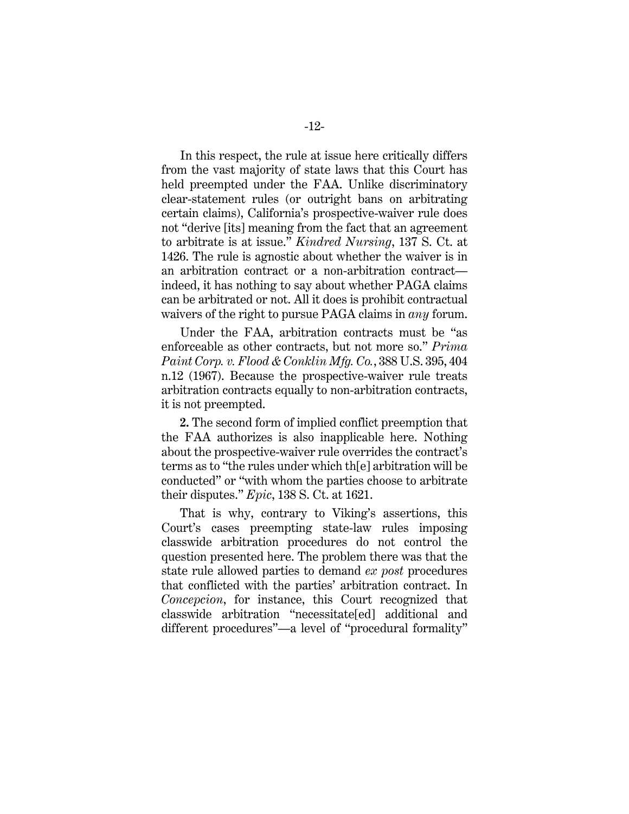In this respect, the rule at issue here critically differs from the vast majority of state laws that this Court has held preempted under the FAA. Unlike discriminatory clear-statement rules (or outright bans on arbitrating certain claims), California's prospective-waiver rule does not "derive [its] meaning from the fact that an agreement to arbitrate is at issue." *Kindred Nursing*, 137 S. Ct. at 1426. The rule is agnostic about whether the waiver is in an arbitration contract or a non-arbitration contract indeed, it has nothing to say about whether PAGA claims can be arbitrated or not. All it does is prohibit contractual waivers of the right to pursue PAGA claims in *any* forum.

Under the FAA, arbitration contracts must be "as enforceable as other contracts, but not more so." *Prima Paint Corp. v. Flood & Conklin Mfg. Co.*, 388 U.S. 395, 404 n.12 (1967). Because the prospective-waiver rule treats arbitration contracts equally to non-arbitration contracts, it is not preempted.

**2.** The second form of implied conflict preemption that the FAA authorizes is also inapplicable here. Nothing about the prospective-waiver rule overrides the contract's terms as to "the rules under which th[e] arbitration will be conducted" or "with whom the parties choose to arbitrate their disputes." *Epic*, 138 S. Ct. at 1621.

That is why, contrary to Viking's assertions, this Court's cases preempting state-law rules imposing classwide arbitration procedures do not control the question presented here. The problem there was that the state rule allowed parties to demand *ex post* procedures that conflicted with the parties' arbitration contract. In *Concepcion*, for instance, this Court recognized that classwide arbitration "necessitate[ed] additional and different procedures"—a level of "procedural formality"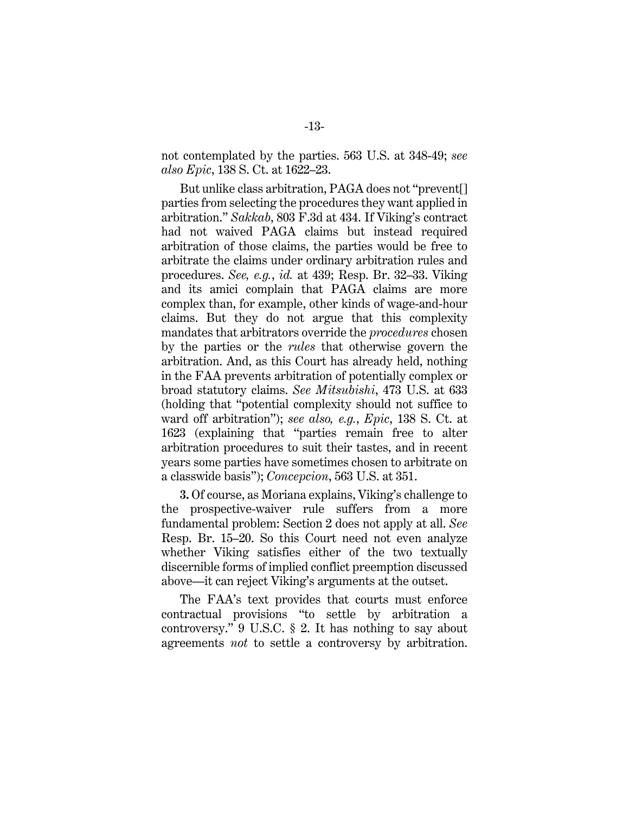not contemplated by the parties. 563 U.S. at 348-49; *see also Epic*, 138 S. Ct. at 1622–23.

But unlike class arbitration, PAGA does not "prevent[] parties from selecting the procedures they want applied in arbitration." *Sakkab*, 803 F.3d at 434. If Viking's contract had not waived PAGA claims but instead required arbitration of those claims, the parties would be free to arbitrate the claims under ordinary arbitration rules and procedures. *See, e.g.*, *id.* at 439; Resp. Br. 32–33. Viking and its amici complain that PAGA claims are more complex than, for example, other kinds of wage-and-hour claims. But they do not argue that this complexity mandates that arbitrators override the *procedures* chosen by the parties or the *rules* that otherwise govern the arbitration. And, as this Court has already held, nothing in the FAA prevents arbitration of potentially complex or broad statutory claims. *See Mitsubishi*, 473 U.S. at 633 (holding that "potential complexity should not suffice to ward off arbitration"); *see also, e.g.*, *Epic*, 138 S. Ct. at 1623 (explaining that "parties remain free to alter arbitration procedures to suit their tastes, and in recent years some parties have sometimes chosen to arbitrate on a classwide basis"); *Concepcion*, 563 U.S. at 351.

**3.** Of course, as Moriana explains, Viking's challenge to the prospective-waiver rule suffers from a more fundamental problem: Section 2 does not apply at all. *See*  Resp. Br. 15–20. So this Court need not even analyze whether Viking satisfies either of the two textually discernible forms of implied conflict preemption discussed above—it can reject Viking's arguments at the outset.

The FAA's text provides that courts must enforce contractual provisions "to settle by arbitration a controversy." 9 U.S.C. § 2. It has nothing to say about agreements *not* to settle a controversy by arbitration.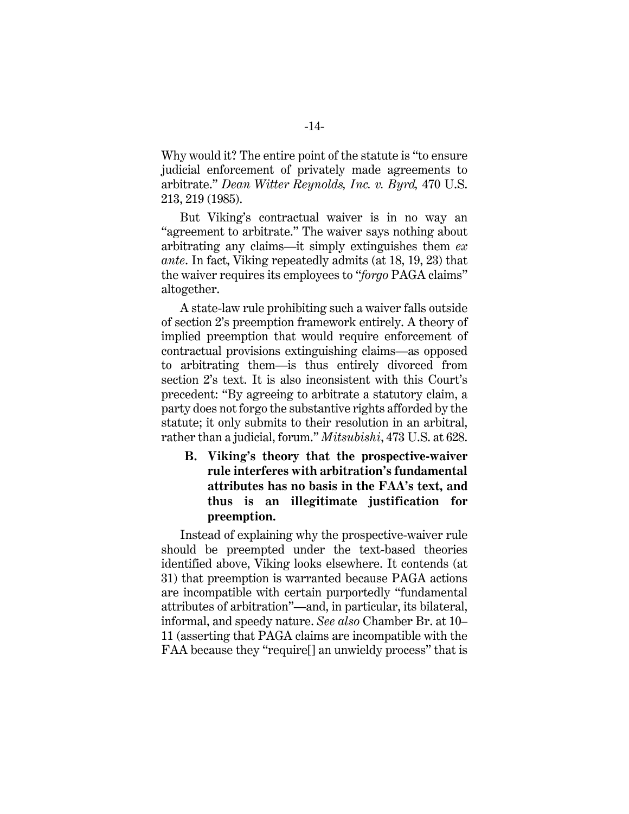Why would it? The entire point of the statute is "to ensure judicial enforcement of privately made agreements to arbitrate." *Dean Witter Reynolds, Inc. v. Byrd,* 470 U.S. 213, 219 (1985).

But Viking's contractual waiver is in no way an "agreement to arbitrate." The waiver says nothing about arbitrating any claims—it simply extinguishes them *ex ante*. In fact, Viking repeatedly admits (at 18, 19, 23) that the waiver requires its employees to "*forgo* PAGA claims" altogether.

A state-law rule prohibiting such a waiver falls outside of section 2's preemption framework entirely. A theory of implied preemption that would require enforcement of contractual provisions extinguishing claims—as opposed to arbitrating them—is thus entirely divorced from section 2's text. It is also inconsistent with this Court's precedent: "By agreeing to arbitrate a statutory claim, a party does not forgo the substantive rights afforded by the statute; it only submits to their resolution in an arbitral, rather than a judicial, forum." *Mitsubishi*, 473 U.S. at 628.

**B. Viking's theory that the prospective-waiver rule interferes with arbitration's fundamental attributes has no basis in the FAA's text, and thus is an illegitimate justification for preemption.**

Instead of explaining why the prospective-waiver rule should be preempted under the text-based theories identified above, Viking looks elsewhere. It contends (at 31) that preemption is warranted because PAGA actions are incompatible with certain purportedly "fundamental attributes of arbitration"—and, in particular, its bilateral, informal, and speedy nature. *See also* Chamber Br. at 10– 11 (asserting that PAGA claims are incompatible with the FAA because they "require[] an unwieldy process" that is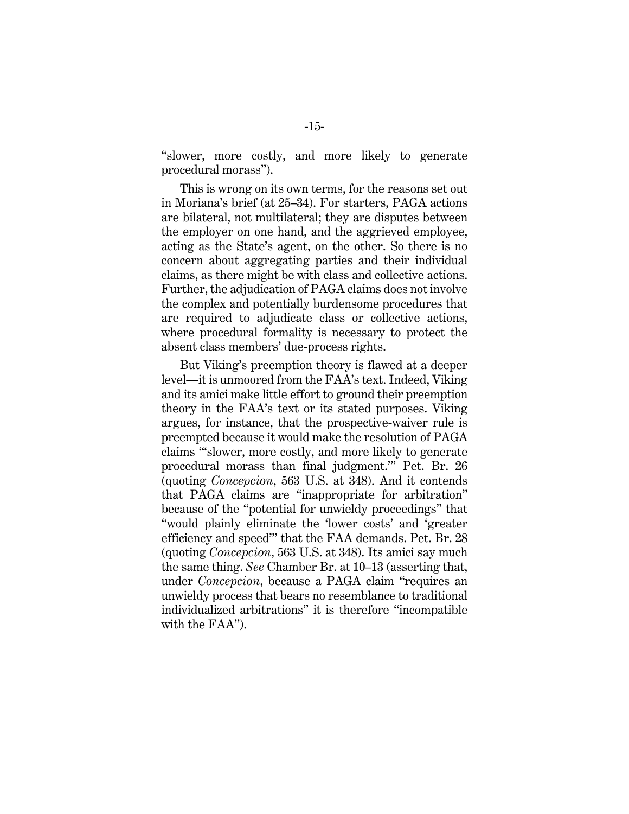"slower, more costly, and more likely to generate procedural morass").

This is wrong on its own terms, for the reasons set out in Moriana's brief (at 25–34). For starters, PAGA actions are bilateral, not multilateral; they are disputes between the employer on one hand, and the aggrieved employee, acting as the State's agent, on the other. So there is no concern about aggregating parties and their individual claims, as there might be with class and collective actions. Further, the adjudication of PAGA claims does not involve the complex and potentially burdensome procedures that are required to adjudicate class or collective actions, where procedural formality is necessary to protect the absent class members' due-process rights.

But Viking's preemption theory is flawed at a deeper level—it is unmoored from the FAA's text. Indeed, Viking and its amici make little effort to ground their preemption theory in the FAA's text or its stated purposes. Viking argues, for instance, that the prospective-waiver rule is preempted because it would make the resolution of PAGA claims "'slower, more costly, and more likely to generate procedural morass than final judgment.'" Pet. Br. 26 (quoting *Concepcion*, 563 U.S. at 348). And it contends that PAGA claims are "inappropriate for arbitration" because of the "potential for unwieldy proceedings" that "would plainly eliminate the 'lower costs' and 'greater efficiency and speed'" that the FAA demands. Pet. Br. 28 (quoting *Concepcion*, 563 U.S. at 348). Its amici say much the same thing. *See* Chamber Br. at 10–13 (asserting that, under *Concepcion*, because a PAGA claim "requires an unwieldy process that bears no resemblance to traditional individualized arbitrations" it is therefore "incompatible with the FAA").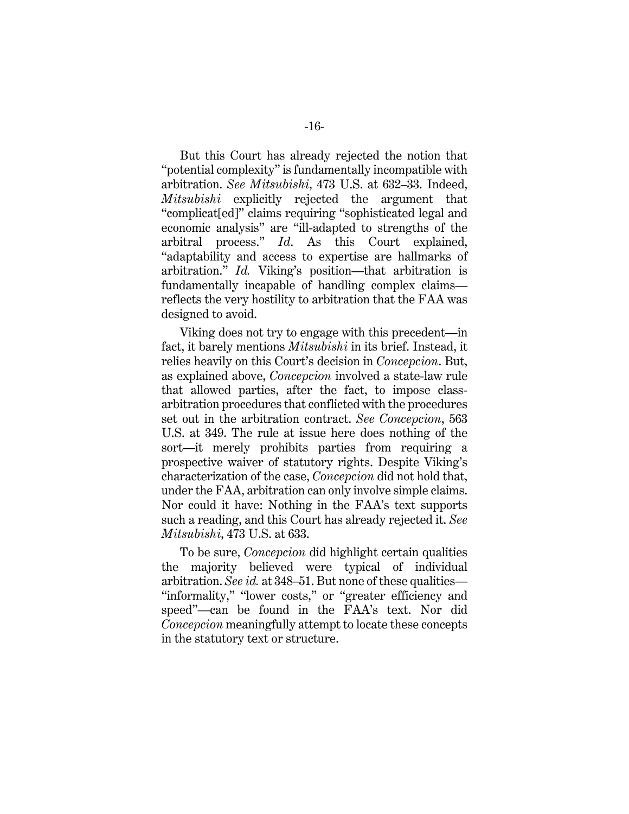But this Court has already rejected the notion that "potential complexity" is fundamentally incompatible with arbitration. *See Mitsubishi*, 473 U.S. at 632–33. Indeed, *Mitsubishi* explicitly rejected the argument that "complicat[ed]" claims requiring "sophisticated legal and economic analysis" are "ill-adapted to strengths of the arbitral process." *Id*. As this Court explained, "adaptability and access to expertise are hallmarks of arbitration." *Id.* Viking's position—that arbitration is fundamentally incapable of handling complex claims reflects the very hostility to arbitration that the FAA was designed to avoid.

Viking does not try to engage with this precedent—in fact, it barely mentions *Mitsubishi* in its brief. Instead, it relies heavily on this Court's decision in *Concepcion*. But, as explained above, *Concepcion* involved a state-law rule that allowed parties, after the fact, to impose classarbitration procedures that conflicted with the procedures set out in the arbitration contract. *See Concepcion*, 563 U.S. at 349. The rule at issue here does nothing of the sort—it merely prohibits parties from requiring a prospective waiver of statutory rights. Despite Viking's characterization of the case, *Concepcion* did not hold that, under the FAA, arbitration can only involve simple claims. Nor could it have: Nothing in the FAA's text supports such a reading, and this Court has already rejected it. *See Mitsubishi*, 473 U.S. at 633.

To be sure, *Concepcion* did highlight certain qualities the majority believed were typical of individual arbitration. *See id.* at 348–51. But none of these qualities— "informality," "lower costs," or "greater efficiency and speed"—can be found in the FAA's text. Nor did *Concepcion* meaningfully attempt to locate these concepts in the statutory text or structure.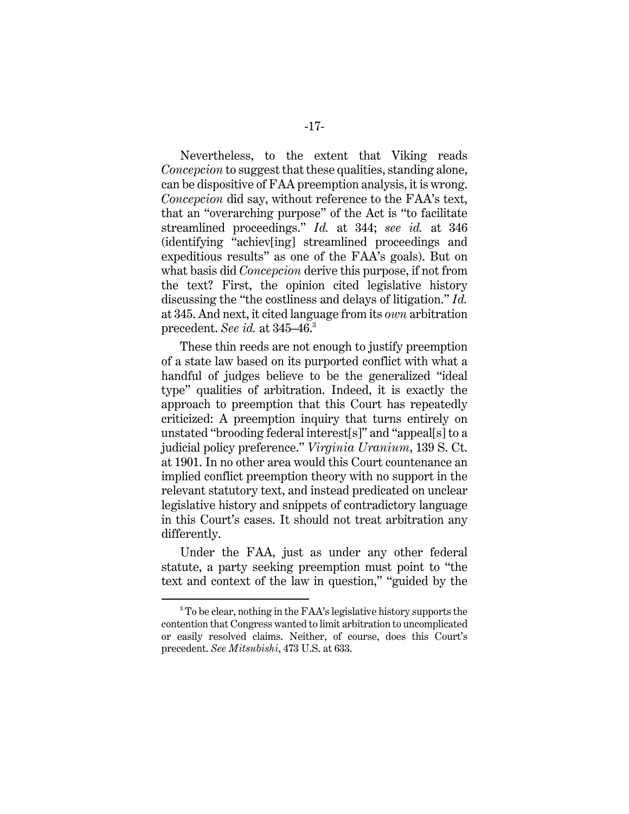Nevertheless, to the extent that Viking reads *Concepcion* to suggest that these qualities, standing alone, can be dispositive of FAA preemption analysis, it is wrong. *Concepcion* did say, without reference to the FAA's text, that an "overarching purpose" of the Act is "to facilitate streamlined proceedings." *Id.* at 344; *see id.* at 346 (identifying "achiev[ing] streamlined proceedings and expeditious results" as one of the FAA's goals). But on what basis did *Concepcion* derive this purpose, if not from the text? First, the opinion cited legislative history discussing the "the costliness and delays of litigation." *Id.* at 345. And next, it cited language from its *own* arbitration precedent. *See id.* at 345–46. 3

These thin reeds are not enough to justify preemption of a state law based on its purported conflict with what a handful of judges believe to be the generalized "ideal type" qualities of arbitration. Indeed, it is exactly the approach to preemption that this Court has repeatedly criticized: A preemption inquiry that turns entirely on unstated "brooding federal interest[s]" and "appeal[s] to a judicial policy preference." *Virginia Uranium*, 139 S. Ct. at 1901. In no other area would this Court countenance an implied conflict preemption theory with no support in the relevant statutory text, and instead predicated on unclear legislative history and snippets of contradictory language in this Court's cases. It should not treat arbitration any differently.

Under the FAA, just as under any other federal statute, a party seeking preemption must point to "the text and context of the law in question," "guided by the

<sup>3</sup> To be clear, nothing in the FAA's legislative history supports the contention that Congress wanted to limit arbitration to uncomplicated or easily resolved claims. Neither, of course, does this Court's precedent. *See Mitsubishi*, 473 U.S. at 633.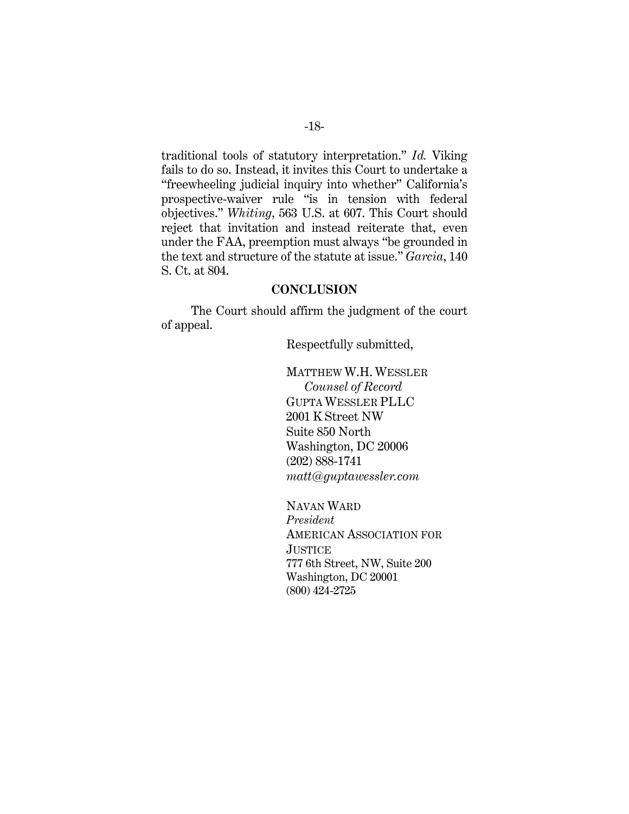traditional tools of statutory interpretation." *Id.* Viking fails to do so. Instead, it invites this Court to undertake a "freewheeling judicial inquiry into whether" California's prospective-waiver rule "is in tension with federal objectives." *Whiting*, 563 U.S. at 607. This Court should reject that invitation and instead reiterate that, even under the FAA, preemption must always "be grounded in the text and structure of the statute at issue." *Garcia*, 140 S. Ct. at 804.

### **CONCLUSION**

The Court should affirm the judgment of the court of appeal.

Respectfully submitted,

MATTHEW W.H. WESSLER *Counsel of Record* GUPTA WESSLER PLLC 2001 K Street NW Suite 850 North Washington, DC 20006 (202) 888-1741 *matt@guptawessler.com*

NAVAN WARD *President* AMERICAN ASSOCIATION FOR **JUSTICE** 777 6th Street, NW, Suite 200 Washington, DC 20001 (800) 424-2725